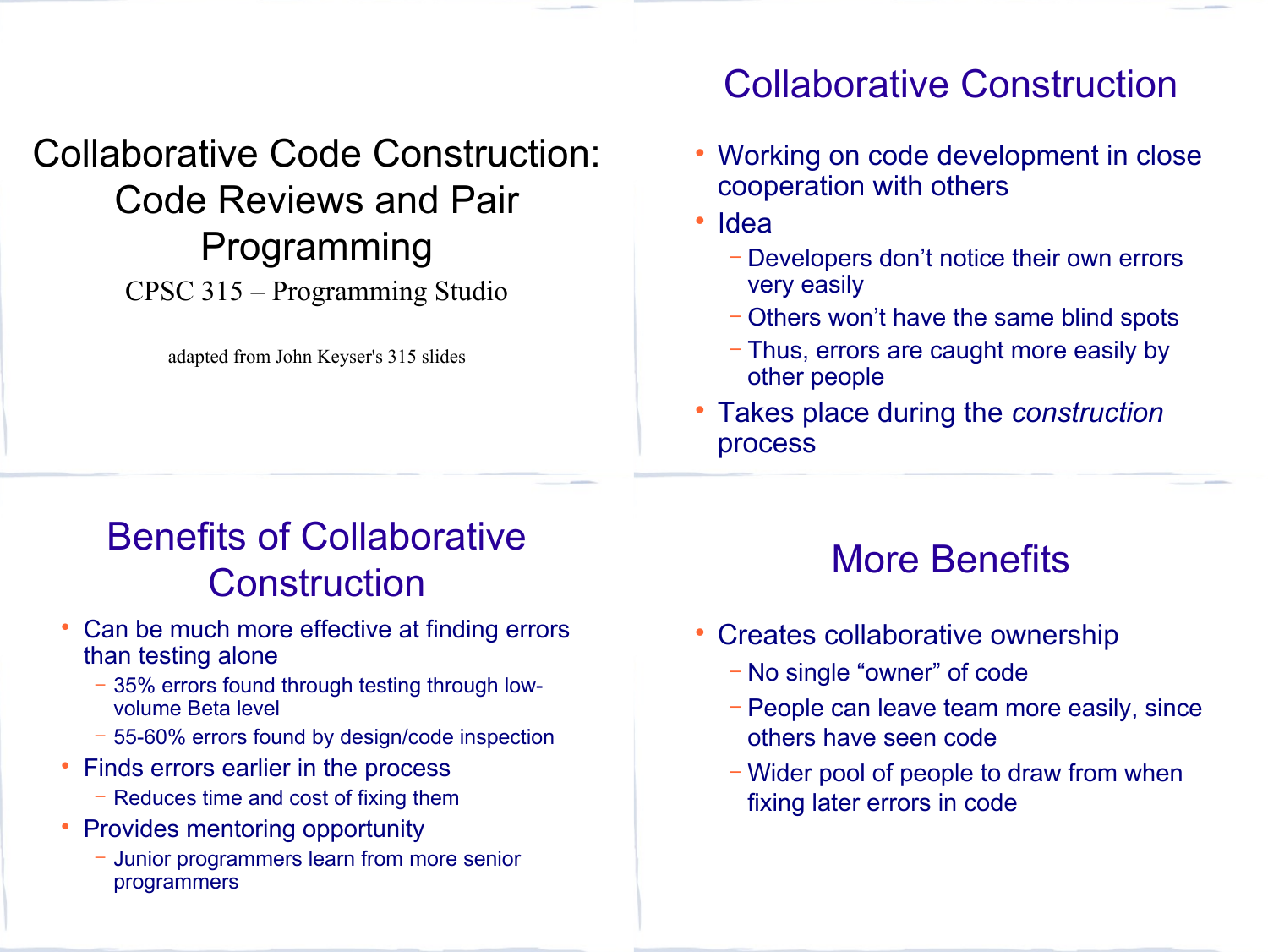## Collaborative Code Construction: Code Reviews and Pair Programming CPSC 315 – Programming Studio

adapted from John Keyser's 315 slides

#### Collaborative Construction

- Working on code development in close cooperation with others
- Idea
	- − Developers don't notice their own errors very easily
	- − Others won't have the same blind spots
	- − Thus, errors are caught more easily by other people
- Takes place during the *construction* process

# Benefits of Collaborative **Construction**

- Can be much more effective at finding errors than testing alone
	- − 35% errors found through testing through lowvolume Beta level
	- − 55-60% errors found by design/code inspection
- Finds errors earlier in the process
	- − Reduces time and cost of fixing them
- Provides mentoring opportunity
	- − Junior programmers learn from more senior programmers

# More Benefits

- Creates collaborative ownership
	- − No single "owner" of code
	- − People can leave team more easily, since others have seen code
	- − Wider pool of people to draw from when fixing later errors in code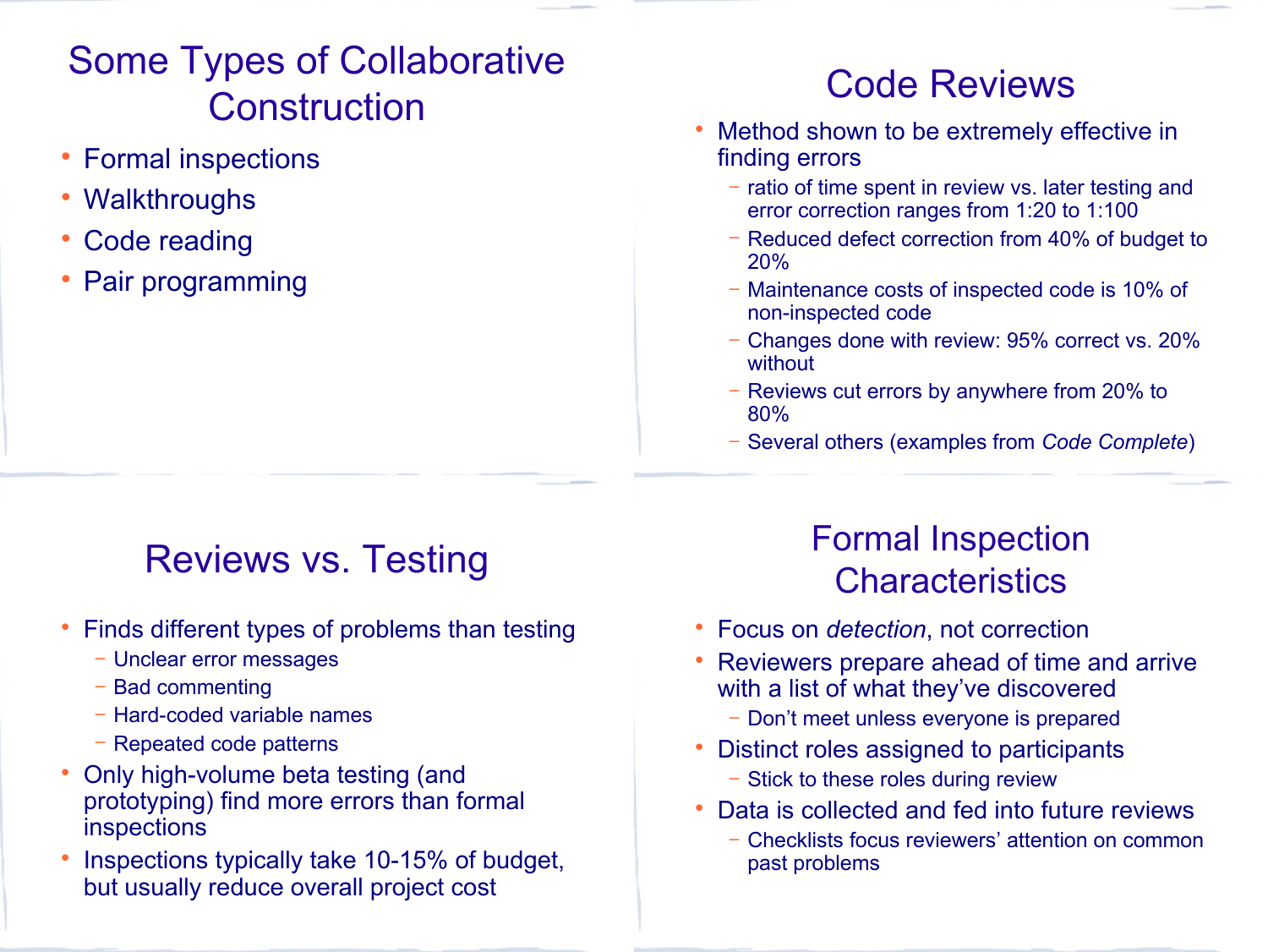# Some Types of Collaborative Construction

- Formal inspections
- Walkthroughs
- Code reading
- Pair programming

# Code Reviews

- Method shown to be extremely effective in finding errors
	- − ratio of time spent in review vs. later testing and error correction ranges from 1:20 to 1:100
	- − Reduced defect correction from 40% of budget to 20%
	- − Maintenance costs of inspected code is 10% of non-inspected code
	- − Changes done with review: 95% correct vs. 20% without
	- − Reviews cut errors by anywhere from 20% to 80%
	- − Several others (examples from *Code Complete*)

# Reviews vs. Testing

- Finds different types of problems than testing
	- − Unclear error messages
	- − Bad commenting
	- − Hard-coded variable names
	- − Repeated code patterns
- Only high-volume beta testing (and prototyping) find more errors than formal inspections
- Inspections typically take 10-15% of budget, but usually reduce overall project cost

## Formal Inspection **Characteristics**

- Focus on *detection*, not correction
- Reviewers prepare ahead of time and arrive with a list of what they've discovered
	- − Don't meet unless everyone is prepared
- Distinct roles assigned to participants
	- − Stick to these roles during review
- Data is collected and fed into future reviews
	- − Checklists focus reviewers' attention on common past problems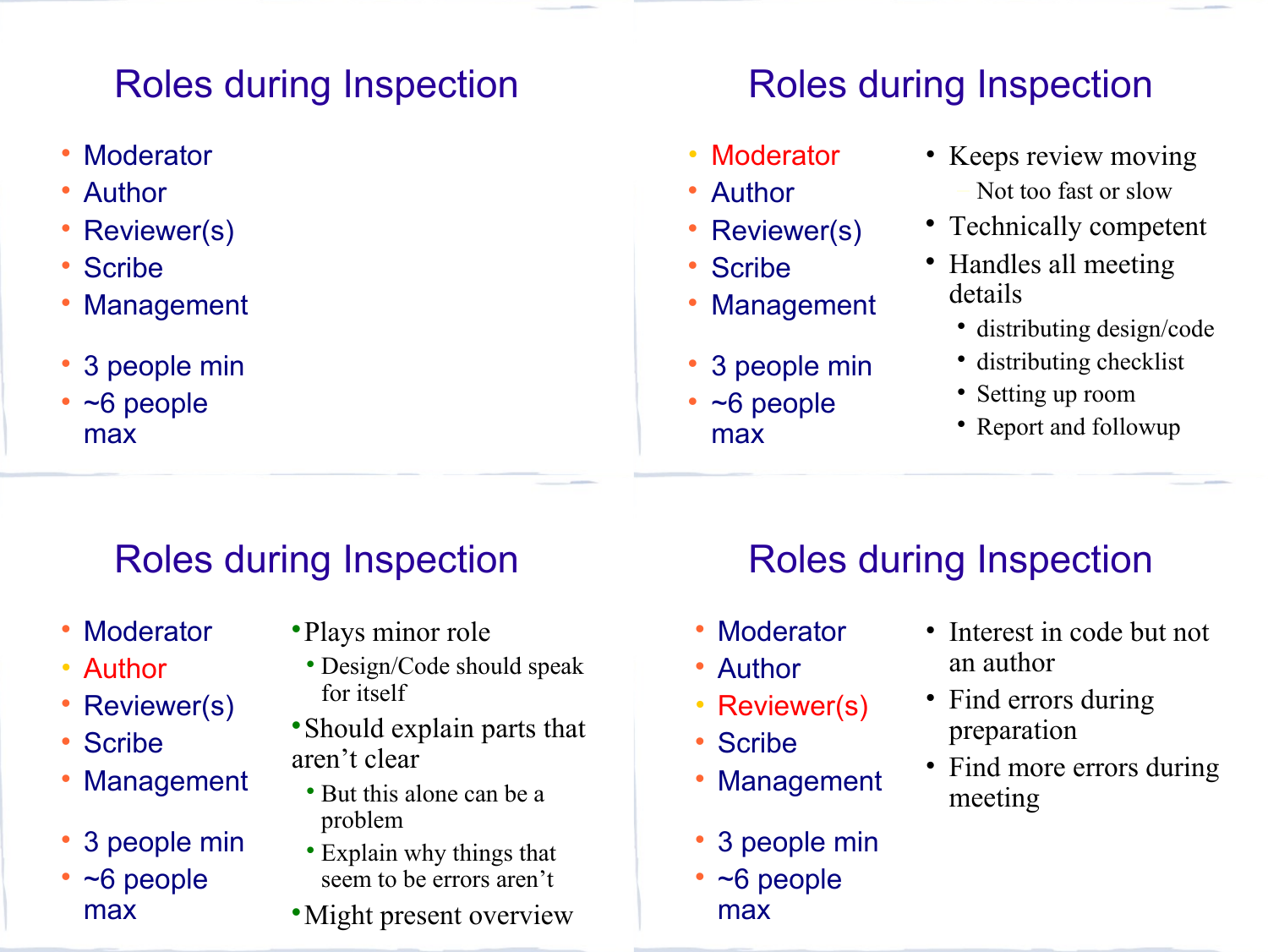# Roles during Inspection

- Moderator
- Author
- Reviewer(s)
- Scribe
- Management
- 3 people min
- ~6 people max

## Roles during Inspection

- Moderator
- Author
- Reviewer(s)
- Scribe
- Management
- 3 people min
- ~6 people max
- Keeps review moving – Not too fast or slow
- Technically competent
- Handles all meeting details
	- distributing design/code
	- distributing checklist
	- Setting up room
	- Report and followup

# Roles during Inspection

- Moderator
- Author
- Reviewer(s)
- Scribe
- Management
- 3 people min
- ~6 people max
- Plays minor role
	- Design/Code should speak for itself
- Should explain parts that aren't clear
	- But this alone can be a problem
	- Explain why things that seem to be errors aren't
- Might present overview

# Roles during Inspection

- Moderator
- Author
- Reviewer(s)
- Scribe
- Management
- 3 people min
- ~6 people max
- Interest in code but not an author
- Find errors during preparation
- Find more errors during meeting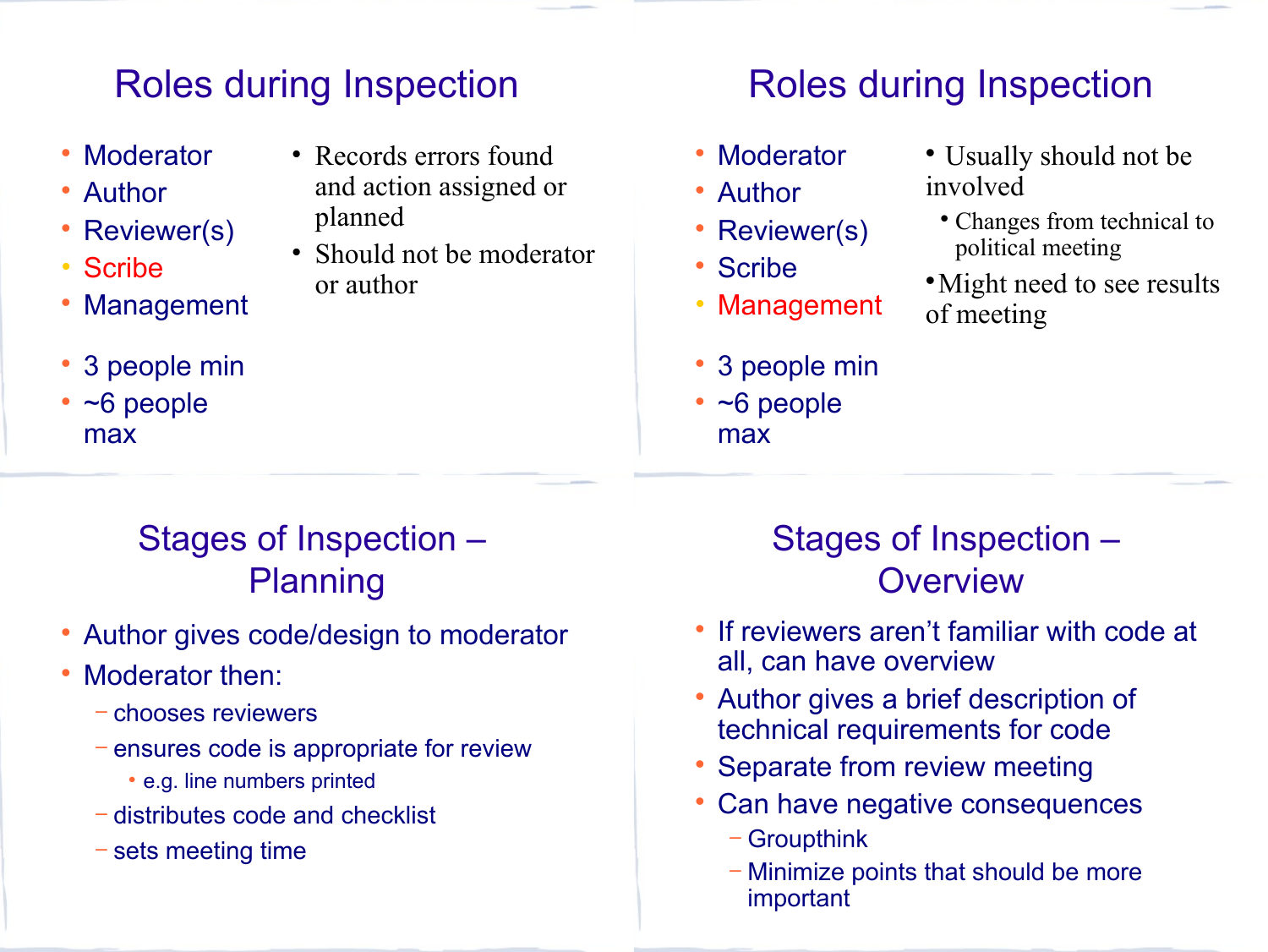## Roles during Inspection

- Moderator
- Author
- Reviewer(s)
- Scribe
- Management
- 3 people min
- ~6 people max
- Records errors found and action assigned or planned
- Should not be moderator or author

### Roles during Inspection

- Moderator
- Author
- Reviewer(s)
- Scribe
- Management
- 3 people min
- ~6 people max
- Usually should not be involved
	- Changes from technical to political meeting
- Might need to see results of meeting

#### Stages of Inspection – Planning

- Author gives code/design to moderator
- Moderator then:
	- − chooses reviewers
	- − ensures code is appropriate for review
		- e.g. line numbers printed
	- − distributes code and checklist
	- − sets meeting time

#### Stages of Inspection – **Overview**

- If reviewers aren't familiar with code at all, can have overview
- Author gives a brief description of technical requirements for code
- Separate from review meeting
- Can have negative consequences
	- − Groupthink
	- − Minimize points that should be more important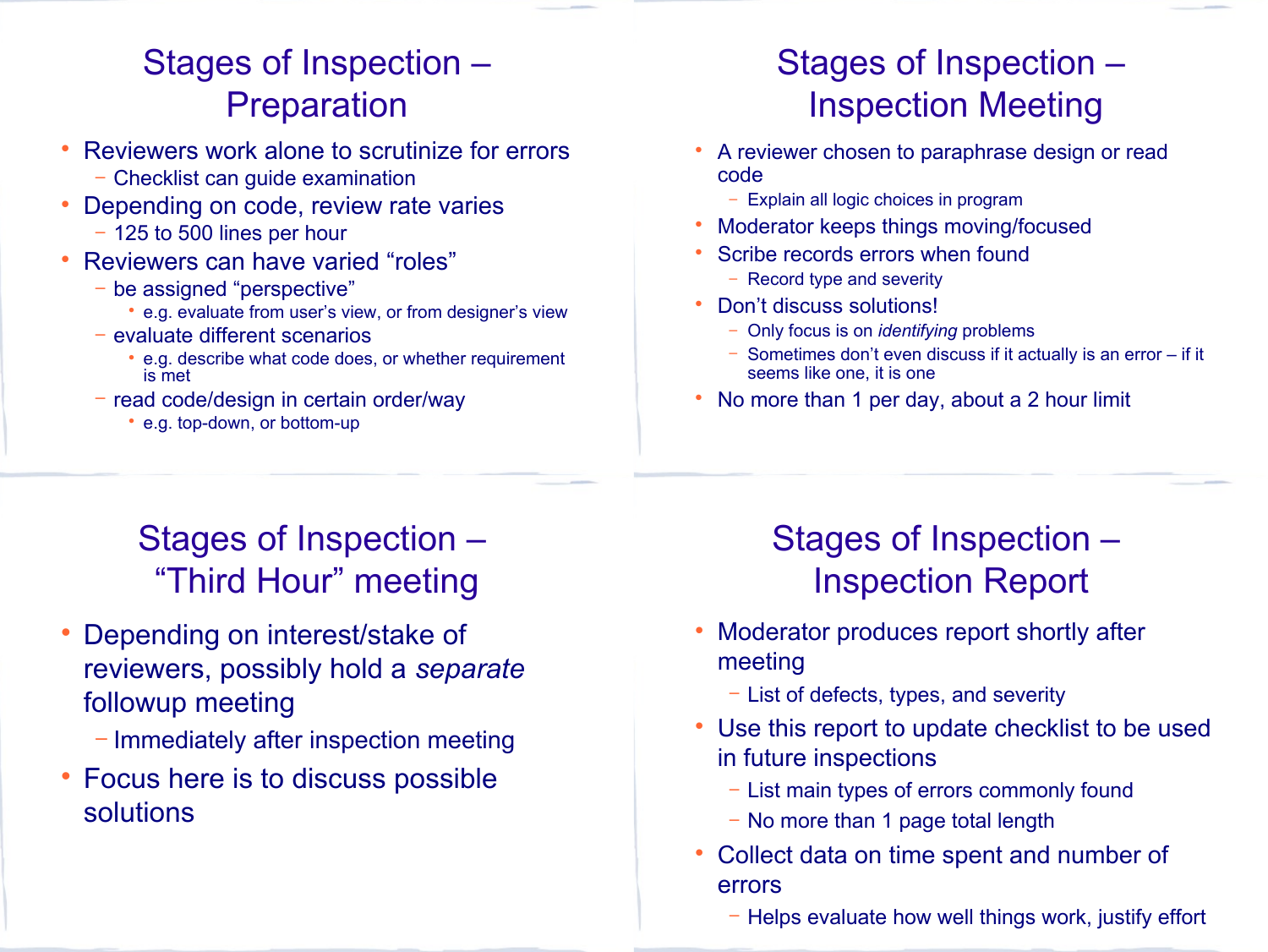#### Stages of Inspection – **Preparation**

- Reviewers work alone to scrutinize for errors
	- − Checklist can guide examination
- Depending on code, review rate varies
	- − 125 to 500 lines per hour
- Reviewers can have varied "roles"
	- − be assigned "perspective"
		- e.g. evaluate from user's view, or from designer's view
	- − evaluate different scenarios
		- e.g. describe what code does, or whether requirement is met
	- − read code/design in certain order/way
		- e.g. top-down, or bottom-up

#### Stages of Inspection – Inspection Meeting

- A reviewer chosen to paraphrase design or read code
	- − Explain all logic choices in program
- Moderator keeps things moving/focused
- Scribe records errors when found
	- − Record type and severity
- Don't discuss solutions!
	- − Only focus is on *identifying* problems
	- Sometimes don't even discuss if it actually is an error if it seems like one, it is one
- No more than 1 per day, about a 2 hour limit

# Stages of Inspection – "Third Hour" meeting

- Depending on interest/stake of reviewers, possibly hold a *separate* followup meeting
	- − Immediately after inspection meeting
- Focus here is to discuss possible solutions

#### Stages of Inspection – Inspection Report

- Moderator produces report shortly after meeting
	- − List of defects, types, and severity
- Use this report to update checklist to be used in future inspections
	- − List main types of errors commonly found
	- − No more than 1 page total length
- Collect data on time spent and number of errors
	- − Helps evaluate how well things work, justify effort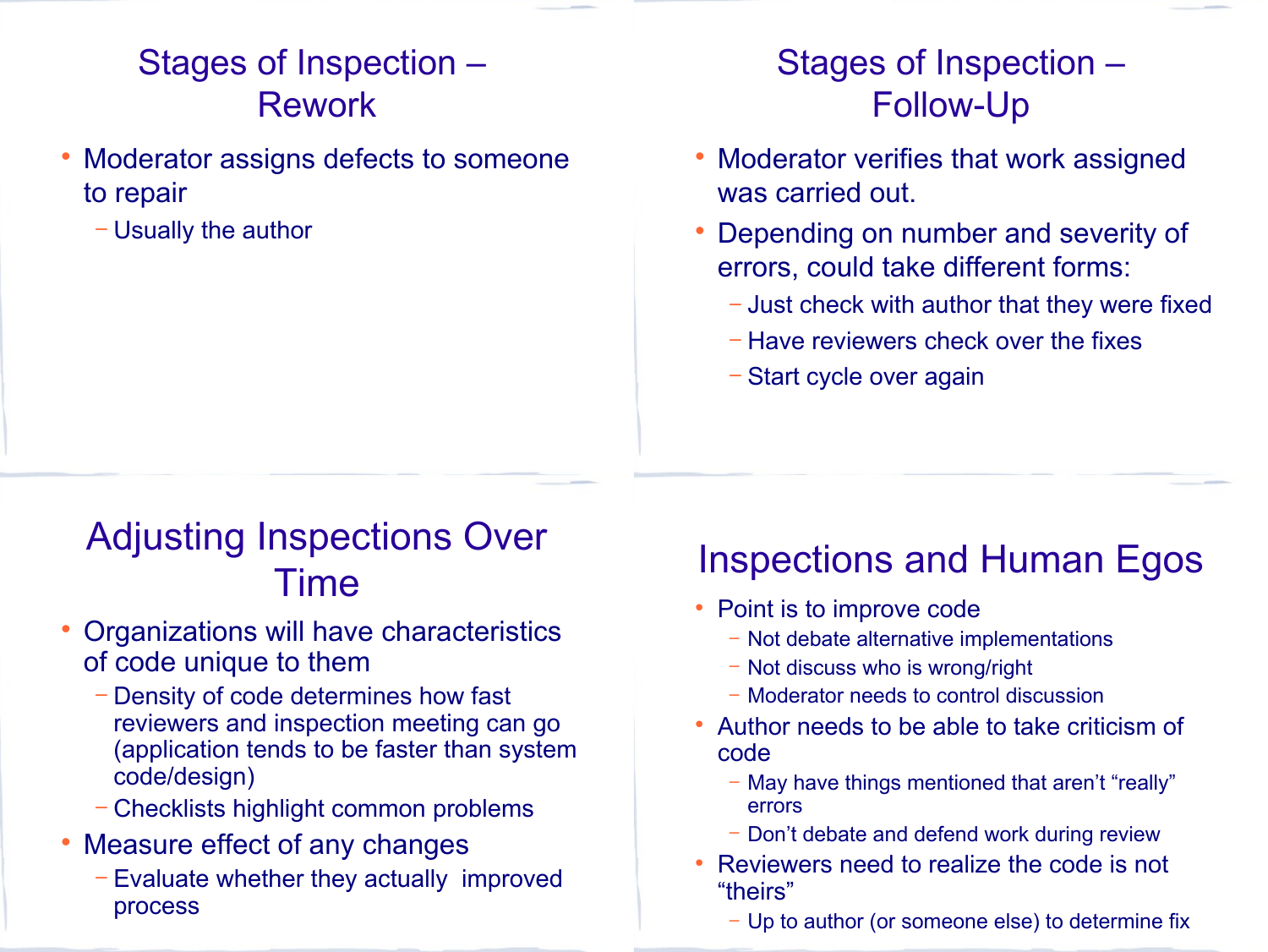#### Stages of Inspection – Rework

- Moderator assigns defects to someone to repair
	- − Usually the author

#### Stages of Inspection – Follow-Up

- Moderator verifies that work assigned was carried out.
- Depending on number and severity of errors, could take different forms:
	- − Just check with author that they were fixed
	- − Have reviewers check over the fixes
	- − Start cycle over again

# Adjusting Inspections Over Time

#### Organizations will have characteristics of code unique to them

- Density of code determines how fast reviewers and inspection meeting can go (application tends to be faster than system code/design)
- − Checklists highlight common problems
- Measure effect of any changes
	- Evaluate whether they actually improved process

## Inspections and Human Egos

- Point is to improve code
	- − Not debate alternative implementations
	- − Not discuss who is wrong/right
	- − Moderator needs to control discussion
- Author needs to be able to take criticism of code
	- − May have things mentioned that aren't "really" errors
	- − Don't debate and defend work during review
- Reviewers need to realize the code is not "theirs"
	- − Up to author (or someone else) to determine fix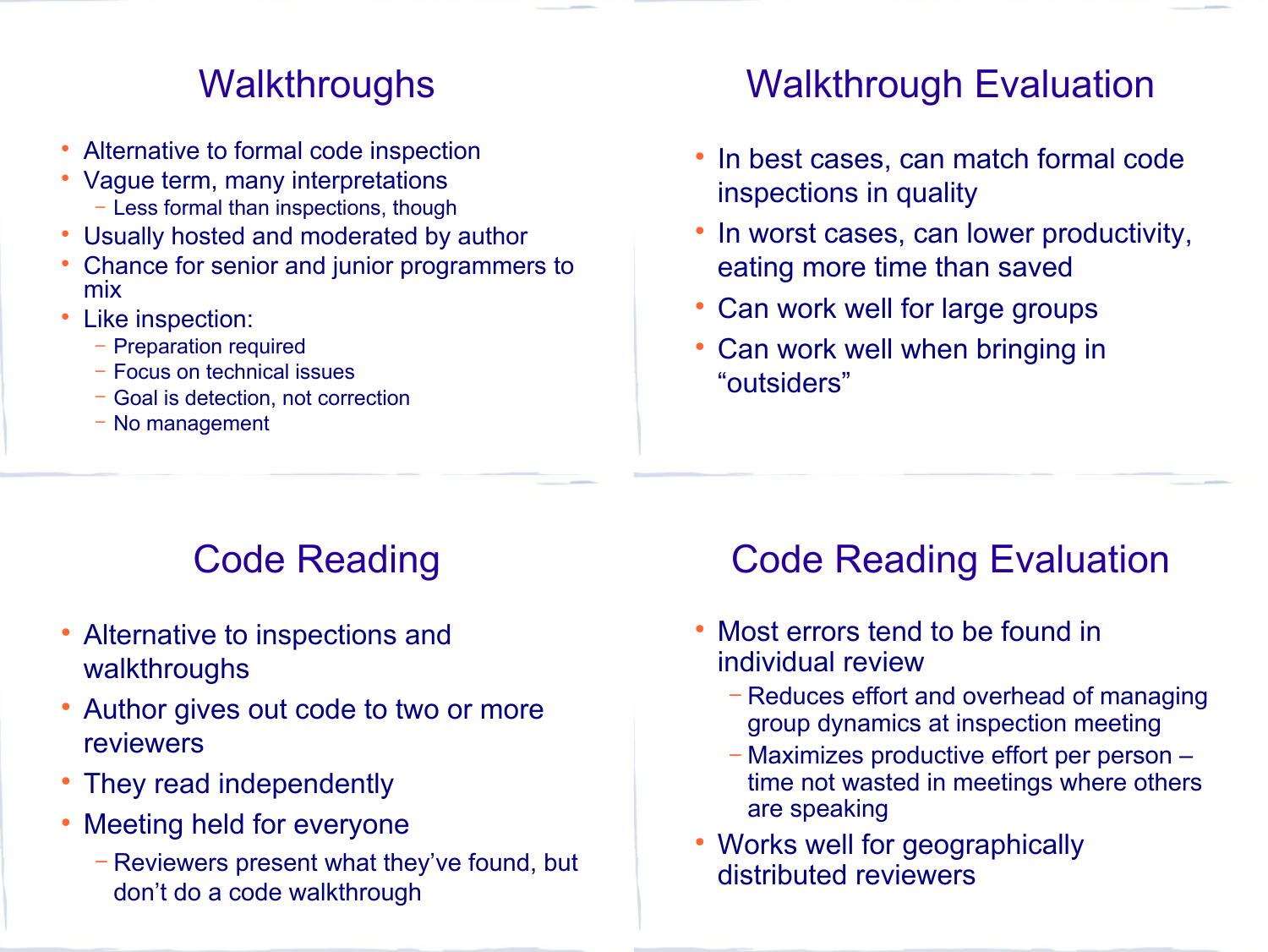## **Walkthroughs**

- Alternative to formal code inspection
- Vague term, many interpretations − Less formal than inspections, though
- Usually hosted and moderated by author
- Chance for senior and junior programmers to mix
- Like inspection:
	- − Preparation required
	- − Focus on technical issues
	- − Goal is detection, not correction
	- − No management

# Walkthrough Evaluation

- In best cases, can match formal code inspections in quality
- In worst cases, can lower productivity, eating more time than saved
- Can work well for large groups
- Can work well when bringing in "outsiders"

# Code Reading

- Alternative to inspections and walkthroughs
- Author gives out code to two or more reviewers
- They read independently
- Meeting held for everyone
	- − Reviewers present what they've found, but don't do a code walkthrough

# Code Reading Evaluation

- Most errors tend to be found in individual review
	- − Reduces effort and overhead of managing group dynamics at inspection meeting
	- − Maximizes productive effort per person time not wasted in meetings where others are speaking
- Works well for geographically distributed reviewers